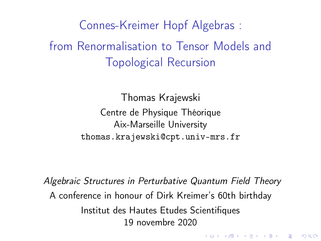<span id="page-0-0"></span>Connes-Kreimer Hopf Algebras : from Renormalisation to Tensor Models and Topological Recursion

> Thomas Krajewski Centre de Physique Théorique Aix-Marseille University [thomas.krajewski@cpt.univ-mrs.fr](mailto:thomas.krajewski@cpt.univ-mrs.fr)

Algebraic Structures in Perturbative Quantum Field Theory A conference in honour of Dirk Kreimer's 60th birthday Institut des Hautes Etudes Scientifiques 19 novembre 2020

4 D X 4 P X 3 X 4 B X 3 B X 9 Q O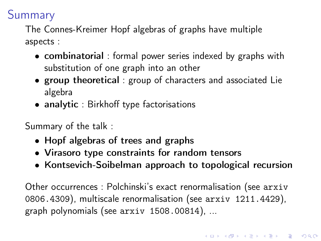# Summary

The Connes-Kreimer Hopf algebras of graphs have multiple aspects :

- combinatorial : formal power series indexed by graphs with substitution of one graph into an other
- group theoretical : group of characters and associated Lie algebra
- analytic : Birkhoff type factorisations

Summary of the talk :

- Hopf algebras of trees and graphs
- Virasoro type constraints for random tensors
- Kontsevich-Soibelman approach to topological recursion

Other occurrences : Polchinski's exact renormalisation (see [arxiv](https://arxiv.org/abd/0806.4309.pdf) [0806.4309](https://arxiv.org/abd/0806.4309.pdf)), multiscale renormalisation (see [arxiv 1211.4429](https://arxiv.org/abs/1211.4429)), graph polynomials (see [arxiv 1508.00814](https://arxiv.org/abs/1508.00814)), ...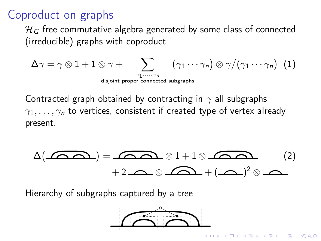# Coproduct on graphs

 $\mathcal{H}_G$  free commutative algebra generated by some class of connected (irreducible) graphs with coproduct

$$
\Delta\gamma = \gamma \otimes 1 + 1 \otimes \gamma + \sum_{\substack{\gamma_1,\ldots,\gamma_n \\ \text{disjoint proper connected subgraphs}}} (\gamma_1\cdots\gamma_n) \otimes \gamma/(\gamma_1\cdots\gamma_n) \ \ (1)
$$

Contracted graph obtained by contracting in  $\gamma$  all subgraphs  $\gamma_1, \ldots, \gamma_n$  to vertices, consistent if created type of vertex already present.

$$
\Delta(\mathbf{A}) = \mathbf{A} \otimes 1 + 1 \otimes \mathbf{A} \otimes \mathbf{A}
$$
 (2)  
+2  $\mathbf{A} \otimes \mathbf{A} \otimes \mathbf{A} + (\mathbf{A})^2 \otimes \mathbf{A}$ 

Hierarchy of subgraphs captured by a tree

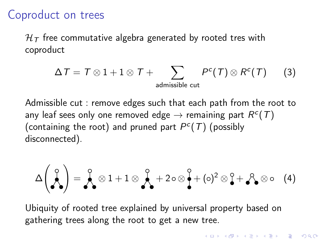## Coproduct on trees

 $H<sub>T</sub>$  free commutative algebra generated by rooted tres with coproduct

$$
\Delta T = T \otimes 1 + 1 \otimes T + \sum_{\text{admissible cut}} P^{c}(T) \otimes R^{c}(T) \qquad (3)
$$

Admissible cut : remove edges such that each path from the root to any leaf sees only one removed edge  $\rightarrow$  remaining part  $R^c(\mathcal{T})$ (containing the root) and pruned part  $P^c(T)$  (possibly disconnected).

$$
\Delta\left(\bigwedge_{i=1}^{q}\right)=\bigwedge_{i=1}^{q}\otimes 1+1\otimes\bigwedge_{i=1}^{q}+2\circ\otimes\bigwedge_{i=1}^{q}+(\circ)^{2}\otimes\bigwedge_{i=1}^{q}+\bigwedge_{i=1}^{q}\otimes\circ\quad(4)
$$

Ubiquity of rooted tree explained by universal property based on gathering trees along the root to get a new tree.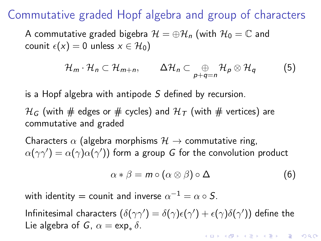Commutative graded Hopf algebra and group of characters

A commutative graded bigebra  $\mathcal{H} = \oplus \mathcal{H}_n$  (with  $\mathcal{H}_0 = \mathbb{C}$  and counit  $\epsilon(x) = 0$  unless  $x \in \mathcal{H}_0$ )

$$
\mathcal{H}_m \cdot \mathcal{H}_n \subset \mathcal{H}_{m+n}, \qquad \Delta \mathcal{H}_n \subset \bigoplus_{p+q=n} \mathcal{H}_p \otimes \mathcal{H}_q \qquad (5)
$$

is a Hopf algebra with antipode S defined by recursion.

 $\mathcal{H}_G$  (with # edges or # cycles) and  $\mathcal{H}_T$  (with # vertices) are commutative and graded

Characters  $\alpha$  (algebra morphisms  $\mathcal{H} \rightarrow$  commutative ring,  $\alpha(\gamma\gamma')=\alpha(\gamma)\alpha(\gamma')$ ) form a group  $G$  for the convolution product

$$
\alpha * \beta = m \circ (\alpha \otimes \beta) \circ \Delta \tag{6}
$$

with identity = counit and inverse  $\alpha^{-1}=\alpha\circ S.$ 

Infinitesimal characters  $(\delta(\gamma\gamma')=\delta(\gamma)\epsilon(\gamma')+\epsilon(\gamma)\delta(\gamma'))$  define the Lie algebra of G,  $\alpha = \exp_* \delta$ .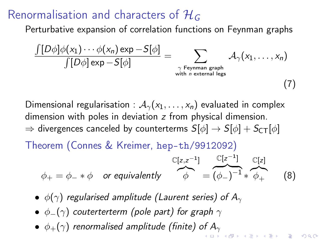## <span id="page-5-0"></span>Renormalisation and characters of  $\mathcal{H}_G$

Perturbative expansion of correlation functions on Feynman graphs

$$
\frac{\int [D\phi]\phi(x_1)\cdots\phi(x_n)\exp -S[\phi]}{\int [D\phi]\exp -S[\phi]}=\sum_{\gamma \text{ Feynman graph }\atop{\text{with } n \text{ external legs}}} \mathcal{A}_\gamma(x_1,\ldots,x_n)
$$

(7)

Dimensional regularisation :  $A_{\gamma}(x_1,\ldots,x_n)$  evaluated in complex dimension with poles in deviation z from physical dimension.  $\Rightarrow$  divergences canceled by counterterms  $S[\phi] \rightarrow S[\phi] + S_{CT}[\phi]$ 

Theorem (Connes & Kreimer, [hep-th/9912092](https://arxiv.org/abs/hep-th/9912092))

$$
\phi_+ = \phi_- * \phi \quad \text{or equivalently} \quad \overbrace{\phi}^{\mathbb{C}[z,z^{-1}]} = \overbrace{(\phi_-)^{-1}}^{\mathbb{C}[z^{-1}]} * \overbrace{\phi_+}^{\mathbb{C}[z]} \quad (8)
$$

- $\phi(\gamma)$  regularised amplitude (Laurent series) of  $A_{\gamma}$
- $\phi_-(\gamma)$  couterterterm (pole part) for graph  $\gamma$
- $\bullet$   $\phi_+(\gamma)$  renormalised amplitude (finite) of  $A_\gamma$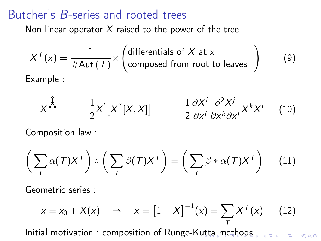#### <span id="page-6-0"></span>Butcher's B-series and rooted trees

Non linear operator  $X$  raised to the power of the tree

$$
X^{T}(x) = \frac{1}{\# \text{Aut}(T)} \times \left( \text{differentials of } X \text{ at } x
$$
  
Example : (9)

$$
X^{\lambda} = \frac{1}{2}X^{'}[X^{''}[X,X]] = \frac{1}{2} \frac{\partial X^{i}}{\partial x^{i}} \frac{\partial^{2} X^{j}}{\partial x^{k} \partial x^{l}} X^{k} X^{l} \quad (10)
$$

Composition law :

$$
\left(\sum_{T} \alpha(T) X^{T}\right) \circ \left(\sum_{T} \beta(T) X^{T}\right) = \left(\sum_{T} \beta * \alpha(T) X^{T}\right) \quad (11)
$$

Geometric series :

$$
x = x_0 + X(x)
$$
  $\Rightarrow$   $x = [1 - X]^{-1}(x) = \sum_{T} X^{T}(x)$  (12)

Initial motivation : composition of Runge-K[utt](#page-5-0)[a](#page-7-0) [m](#page-5-0)[et](#page-6-0)[ho](#page-7-0)[ds](#page-0-0)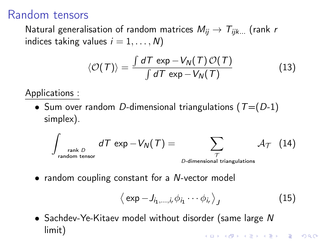## <span id="page-7-0"></span>Random tensors

Natural generalisation of random matrices  $M_{ij} \rightarrow T_{ijk...}$  (rank r indices taking values  $i = 1, \ldots, N$ )

$$
\langle \mathcal{O}(\mathcal{T}) \rangle = \frac{\int d\mathcal{T} \exp -V_N(\mathcal{T}) \mathcal{O}(\mathcal{T})}{\int d\mathcal{T} \exp -V_N(\mathcal{T})}
$$
(13)

Applications :

• Sum over random D-dimensional triangulations ( $T=(D-1)$ ) simplex).

$$
\int_{\substack{\text{rank }D\\ \text{random tensor}}} dT \exp{-V_N(T)} = \sum_{\substack{\mathcal{T}\\ \mathcal{D}\text{-dimensional triangulations}}} \mathcal{A}_{\mathcal{T}} \quad (14)
$$

• random coupling constant for a N-vector model

$$
\langle \exp{-J_{i_1,\ldots,i_r}\phi_{i_1}\cdots\phi_{i_r}} \rangle_J \tag{15}
$$

• Sachdev-Ye-Kitaev model without disorder (same large N limit)**A O A Y A P A P A P A SHOP**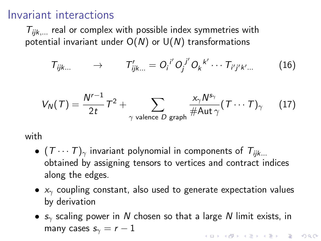### Invariant interactions

 $T_{iik...}$  real or complex with possible index symmetries with potential invariant under  $O(N)$  or  $U(N)$  transformations

$$
T_{ijk...} \longrightarrow T'_{ijk...} = O_i{}^{i'} O_j{}^{j'} O_k{}^{k'} \cdots T_{i'j'k'...}
$$
 (16)

$$
V_N(\mathcal{T}) = \frac{N^{r-1}}{2t}\mathcal{T}^2 + \sum_{\gamma \text{ valence } D \text{ graph}} \frac{x_\gamma N^{s_\gamma}}{\#\text{Aut }\gamma}(\mathcal{T}\cdots \mathcal{T})_{\gamma} \qquad (17)
$$

with

- $(T \cdots T)$ <sub>γ</sub> invariant polynomial in components of  $T_{iik...}$ obtained by assigning tensors to vertices and contract indices along the edges.
- $x<sub>γ</sub>$  coupling constant, also used to generate expectation values by derivation
- $s<sub>y</sub>$  scaling power in N chosen so that a large N limit exists, in many cases  $s_\gamma = r - 1$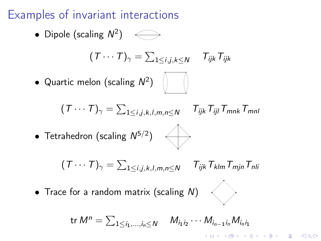## <span id="page-9-0"></span>Examples of invariant interactions

• Dipole (scaling  $N^2$ )

$$
(T\cdots T)_{\gamma} = \sum_{1\leq i,j,k\leq N} T_{ijk} T_{ijk}
$$

• Quartic melon (scaling  $N^2$ )

$$
(T \cdots T)_{\gamma} = \sum_{1 \leq i,j,k,l,m,n \leq N} T_{ijk} T_{ijl} T_{mnk} T_{mnl}
$$

• Tetrahedron (scaling  $N^{5/2}$ )

$$
(\mathit{T} \cdots \mathit{T})_{\gamma} = \sum_{1 \leq i,j,k,l,m,n \leq N} \mathit{T}_{ijk} \mathit{T}_{klm} \mathit{T}_{mjn} \mathit{T}_{nli}
$$

• Trace for a random matrix (scaling N)

$$
\text{tr } M^n = \sum_{1 \leq i_1, \dots, i_n \leq N} \quad M_{i_1 i_2} \cdots M_{i_{n-1} i_n} M_{i_n i_1}
$$

**KORKA REPARATION ADD**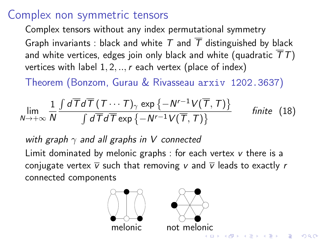## Complex non symmetric tensors

Complex tensors without any index permutational symmetry Graph invariants : black and white T and  $\overline{T}$  distinguished by black and white vertices, edges join only black and white (quadratic  $\overline{T}T$ ) vertices with label  $1, 2, \ldots$ , r each vertex (place of index)

Theorem (Bonzom, Gurau & Rivasseau [arxiv 1202.3637](https://arxiv.org/abs/1202.3637))

$$
\lim_{N\to+\infty}\frac{1}{N}\frac{\int d\overline{T}d\overline{T}(T\cdots T)_{\gamma}\exp\left\{-N^{r-1}V(\overline{T},T)\right\}}{\int d\overline{T}d\overline{T}\exp\left\{-N^{r-1}V(\overline{T},T)\right\}}\qquad \text{finite (18)}
$$

with graph  $\gamma$  and all graphs in V connected

Limit dominated by melonic graphs : for each vertex v there is a conjugate vertex  $\overline{v}$  such that removing v and  $\overline{v}$  leads to exactly r connected components



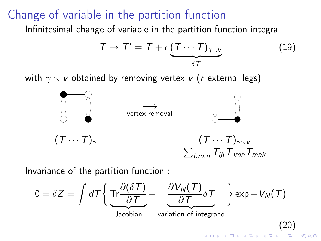## Change of variable in the partition function

Infinitesimal change of variable in the partition function integral

$$
T \to T' = T + \epsilon \underbrace{(T \cdots T)_{\gamma \smallsetminus \nu}}_{\delta T}
$$
 (19)

with  $\gamma \setminus v$  obtained by removing vertex v (r external legs)



Invariance of the partition function :

 $0 = \delta Z = \int dT \Biggl\{ {\rm Tr} \frac{\partial (\delta T)}{\partial T} - ~ ~ \frac{\partial V_N(T)}{\partial T} \Biggr\}$  $\left\{\frac{\partial \mathcal{L}}{\partial \mathcal{T}}\delta \mathcal{T}\right\} \exp\left\{-V_{\mathcal{N}}(\mathcal{T})\right\}$ Jacobian variation of integrand (20) $000$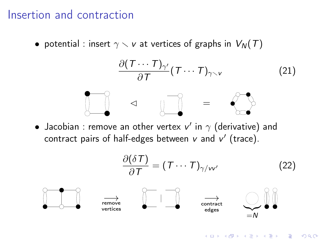### Insertion and contraction

• potential : insert  $\gamma \setminus v$  at vertices of graphs in  $V_N(T)$ 

$$
\frac{\partial (T \cdots T)_{\gamma'}}{\partial T} (T \cdots T)_{\gamma \setminus \nu}
$$
 (21)

 $\bullet$  Jacobian : remove an other vertex  ${\mathsf v}'$  in  $\gamma$  (derivative) and contract pairs of half-edges between  $v$  and  $v'$  (trace).

$$
\frac{\partial(\delta T)}{\partial T} = (T \cdots T)_{\gamma/w'} \tag{22}
$$
\n
$$
\overrightarrow{\text{remove}}
$$
\n
$$
\overrightarrow{\text{remove}}
$$
\n
$$
\overrightarrow{\text{contract}}
$$
\n
$$
\overrightarrow{\text{contract}}
$$
\n
$$
\overrightarrow{\text{contract}}
$$
\n
$$
\overrightarrow{\text{contract}}
$$
\n
$$
\overrightarrow{\text{contract}}
$$
\n
$$
\overrightarrow{\text{contract}}
$$
\n
$$
\overrightarrow{\text{convariant}}
$$

K ロ ▶ K 레 ▶ K 레 ▶ K 레 ≯ K 게 회 게 이 및 사 이 의 O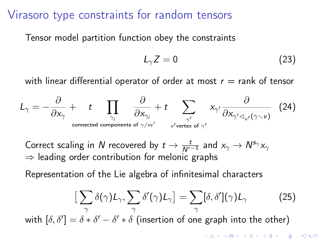#### <span id="page-13-0"></span>Virasoro type constraints for random tensors

Tensor model partition function obey the constraints

$$
L_{\gamma}Z=0\tag{23}
$$

with linear differential operator of order at most  $r =$  rank of tensor

$$
L_{\gamma} = -\frac{\partial}{\partial x_{\gamma}} + t \prod_{\substack{\gamma_{j} \\ \text{connected components of } \gamma/\nu' \\}} \frac{\partial}{\partial x_{\gamma_{j}}} + t \sum_{\substack{\gamma' \\ \nu' \text{vertex of } \gamma' \\ \nu' \text{vertex of } \gamma'}} x_{\gamma'} \frac{\partial}{\partial x_{\gamma' \prec_{\nu'} (\gamma \prec \nu')}} \quad (24)
$$

Correct scaling in N recovered by  $t \to \frac{t}{N^{r-1}}$  and  $x_\gamma \to N^{s_\gamma} x_\gamma$  $\Rightarrow$  leading order contribution for melonic graphs

Representation of the Lie algebra of infinitesimal characters

$$
\left[\sum_{\gamma}\delta(\gamma)L_{\gamma},\sum_{\gamma}\delta'(\gamma)L_{\gamma}\right]=\sum_{\gamma}[\delta,\delta'](\gamma)L_{\gamma}
$$
 (25)

with  $[\delta, \delta'] = \delta * \delta' - \delta' * \delta$  (insertion of one graph into the other)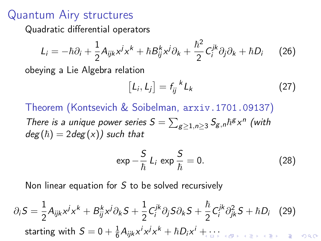### Quantum Airy structures

Quadratic differential operators

$$
L_i = -\hbar \partial_i + \frac{1}{2} A_{ijk} x^j x^k + \hbar B_{ij}^k x^j \partial_k + \frac{\hbar^2}{2} C_i^{jk} \partial_j \partial_k + \hbar D_i \qquad (26)
$$

obeying a Lie Algebra relation

$$
[L_i, L_j] = f_{ij}^{\ \ k} L_k \tag{27}
$$

Theorem (Kontsevich & Soibelman, [arxiv.1701.09137](https://arxiv.org/abs/1701.09137)) There is a unique power series  $S = \sum_{g\geq 1, n\geq 3} S_{g,n} \hbar^g x^n$  (with  $deg(h) = 2deg(x)$  such that

$$
\exp -\frac{S}{\hbar} L_i \exp \frac{S}{\hbar} = 0. \tag{28}
$$

Non linear equation for S to be solved recursively

$$
\partial_i S = \frac{1}{2} A_{ijk} x^j x^k + B_{ij}^k x^j \partial_k S + \frac{1}{2} C_i^{jk} \partial_j S \partial_k S + \frac{\hbar}{2} C_i^{jk} \partial_{jk}^2 S + \hbar D_i \quad (29)
$$
  
starting with  $S = 0 + \frac{1}{6} A_{ijk} x^j x^j x^k + \hbar D_i x^j + \dots$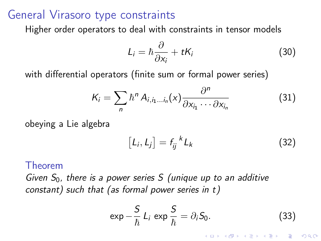### <span id="page-15-0"></span>General Virasoro type constraints

Higher order operators to deal with constraints in tensor models

$$
L_i = \hbar \frac{\partial}{\partial x_i} + t K_i \tag{30}
$$

with differential operators (finite sum or formal power series)

$$
K_i = \sum_n \hbar^n A_{i, i_1 \dots i_n}(x) \frac{\partial^n}{\partial x_{i_1} \cdots \partial x_{i_n}}
$$
(31)

obeying a Lie algebra

$$
[L_i, L_j] = f_{ij}^{\ \ k} L_k \tag{32}
$$

#### Theorem

Given  $S_0$ , there is a power series S (unique up to an additive constant) such that (as formal power series in t)

$$
\exp{-\frac{S}{\hbar} L_i \exp{\frac{S}{\hbar}}} = \partial_i S_0.
$$
 (33)

**KORKA REPARATION ADD**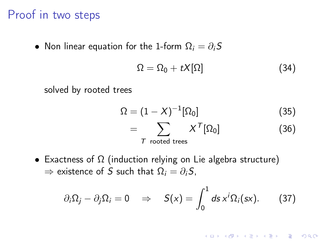#### <span id="page-16-0"></span>Proof in two steps

• Non linear equation for the 1-form  $\Omega_i = \partial_i S$ 

$$
\Omega = \Omega_0 + tX[\Omega] \tag{34}
$$

solved by rooted trees

$$
\Omega = (1 - X)^{-1} [\Omega_0]
$$
\n
$$
= \sum_{\text{T rooted trees}} X^{\text{T}} [\Omega_0]
$$
\n(36)

• Exactness of  $\Omega$  (induction relying on Lie algebra structure)  $\Rightarrow$  existence of S such that  $\Omega_i = \partial_i S$ ,

$$
\partial_i \Omega_j - \partial_j \Omega_i = 0 \quad \Rightarrow \quad S(x) = \int_0^1 ds \, x^i \Omega_i(sx). \tag{37}
$$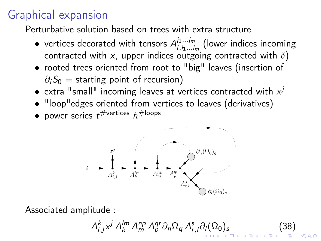# <span id="page-17-0"></span>Graphical expansion

Perturbative solution based on trees with extra structure

- vertices decorated with tensors  $A^{j_1...j_m}_{i_1...i_m}$  $\sum_{i,i_1...i_m}^{j_1...j_m}$  (lower indices incoming contracted with x, upper indices outgoing contracted with  $\delta$ )
- rooted trees oriented from root to "big" leaves (insertion of  $\partial_iS_0$  = starting point of recursion)
- extra "small" incoming leaves at vertices contracted with  $x^{j}$
- "loop"edges oriented from vertices to leaves (derivatives)
- $\bullet\,$  power series  $t^{\# \text{vertices}}$   $\hbar^{\# \text{loops}}$



Associated amplitude :

 $A_{i,j}^k x^j A_k^{lm} A_m^{qp} A_p^{qr} \partial_n \Omega_q A_{r,j}^s \partial_l (\Omega_0)_s$  $A_{i,j}^k x^j A_k^{lm} A_m^{qp} A_p^{qr} \partial_n \Omega_q A_{r,j}^s \partial_l (\Omega_0)_s$  $A_{i,j}^k x^j A_k^{lm} A_m^{qp} A_p^{qr} \partial_n \Omega_q A_{r,j}^s \partial_l (\Omega_0)_s$  $A_{i,j}^k x^j A_k^{lm} A_m^{qp} A_p^{qr} \partial_n \Omega_q A_{r,j}^s \partial_l (\Omega_0)_s$  $A_{i,j}^k x^j A_k^{lm} A_m^{qp} A_p^{qr} \partial_n \Omega_q A_{r,j}^s \partial_l (\Omega_0)_s$  $A_{i,j}^k x^j A_k^{lm} A_m^{qp} A_p^{qr} \partial_n \Omega_q A_{r,j}^s \partial_l (\Omega_0)_s$  (38)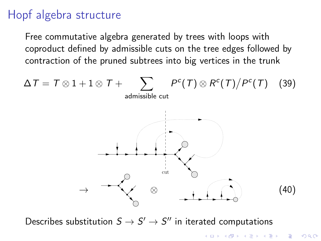## <span id="page-18-0"></span>Hopf algebra structure

Free commutative algebra generated by trees with loops with coproduct defined by admissible cuts on the tree edges followed by contraction of the pruned subtrees into big vertices in the trunk



Describes substitution  $S \to S' \to S''$  in iterated computations

**KORA (FRAGE) A EL VIGO**